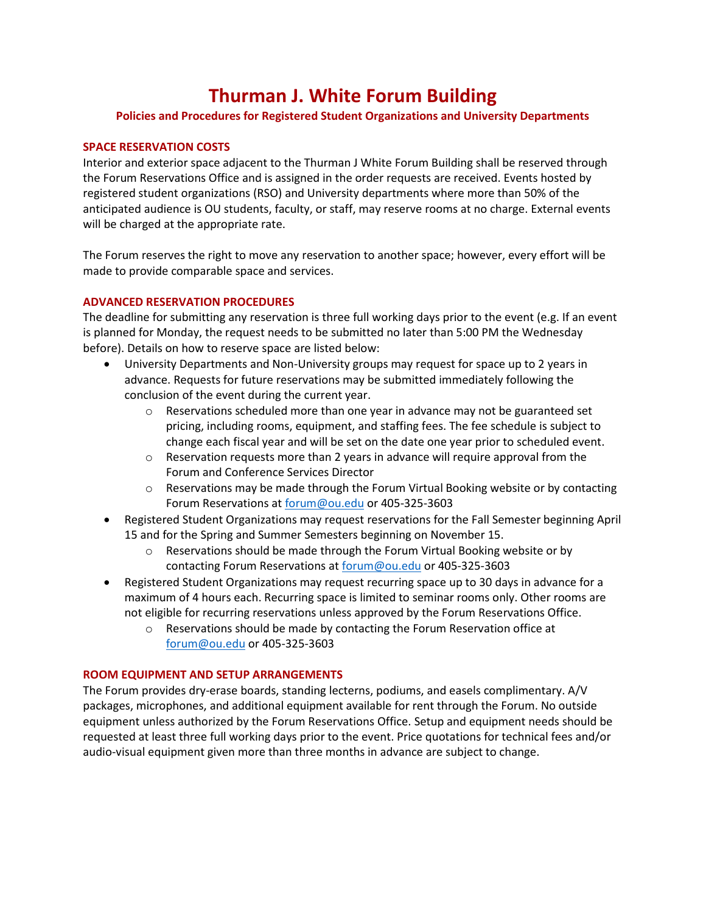# **Thurman J. White Forum Building**

# **Policies and Procedures for Registered Student Organizations and University Departments**

# **SPACE RESERVATION COSTS**

Interior and exterior space adjacent to the Thurman J White Forum Building shall be reserved through the Forum Reservations Office and is assigned in the order requests are received. Events hosted by registered student organizations (RSO) and University departments where more than 50% of the anticipated audience is OU students, faculty, or staff, may reserve rooms at no charge. External events will be charged at the appropriate rate.

The Forum reserves the right to move any reservation to another space; however, every effort will be made to provide comparable space and services.

# **ADVANCED RESERVATION PROCEDURES**

The deadline for submitting any reservation is three full working days prior to the event (e.g. If an event is planned for Monday, the request needs to be submitted no later than 5:00 PM the Wednesday before). Details on how to reserve space are listed below:

- University Departments and Non-University groups may request for space up to 2 years in advance. Requests for future reservations may be submitted immediately following the conclusion of the event during the current year.
	- $\circ$  Reservations scheduled more than one year in advance may not be guaranteed set pricing, including rooms, equipment, and staffing fees. The fee schedule is subject to change each fiscal year and will be set on the date one year prior to scheduled event.
	- $\circ$  Reservation requests more than 2 years in advance will require approval from the Forum and Conference Services Director
	- o Reservations may be made through the Forum Virtual Booking website or by contacting Forum Reservations at [forum@ou.edu](mailto:forum@ou.edu) or 405-325-3603
- Registered Student Organizations may request reservations for the Fall Semester beginning April 15 and for the Spring and Summer Semesters beginning on November 15.
	- o Reservations should be made through the Forum Virtual Booking website or by contacting Forum Reservations a[t forum@ou.edu](mailto:forum@ou.edu) or 405-325-3603
- Registered Student Organizations may request recurring space up to 30 days in advance for a maximum of 4 hours each. Recurring space is limited to seminar rooms only. Other rooms are not eligible for recurring reservations unless approved by the Forum Reservations Office.
	- o Reservations should be made by contacting the Forum Reservation office at [forum@ou.edu](mailto:forum@ou.edu) or 405-325-3603

# **ROOM EQUIPMENT AND SETUP ARRANGEMENTS**

The Forum provides dry-erase boards, standing lecterns, podiums, and easels complimentary. A/V packages, microphones, and additional equipment available for rent through the Forum. No outside equipment unless authorized by the Forum Reservations Office. Setup and equipment needs should be requested at least three full working days prior to the event. Price quotations for technical fees and/or audio-visual equipment given more than three months in advance are subject to change.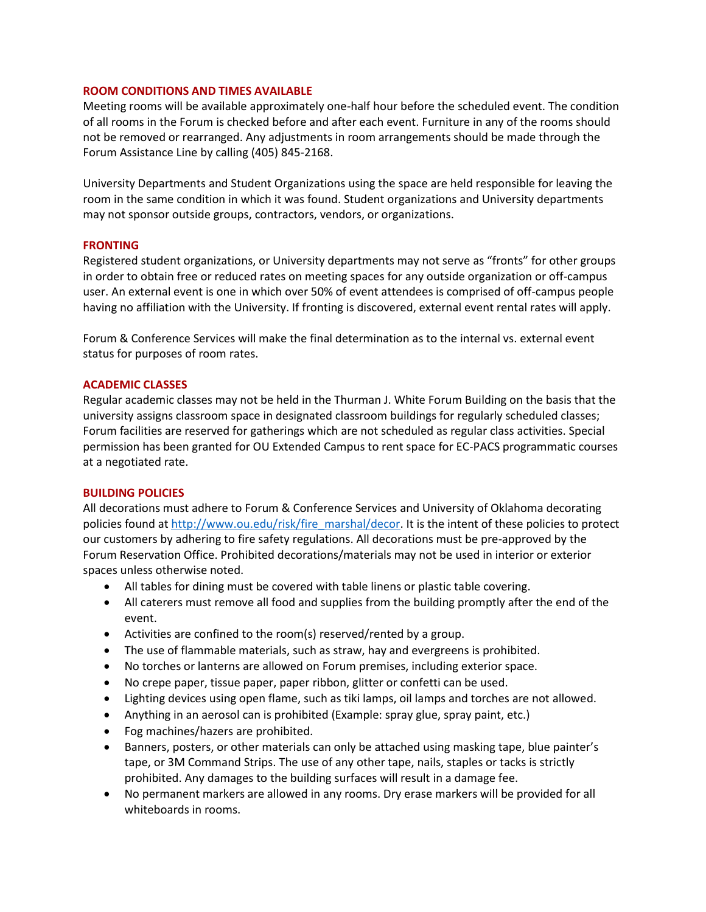## **ROOM CONDITIONS AND TIMES AVAILABLE**

Meeting rooms will be available approximately one-half hour before the scheduled event. The condition of all rooms in the Forum is checked before and after each event. Furniture in any of the rooms should not be removed or rearranged. Any adjustments in room arrangements should be made through the Forum Assistance Line by calling (405) 845-2168.

University Departments and Student Organizations using the space are held responsible for leaving the room in the same condition in which it was found. Student organizations and University departments may not sponsor outside groups, contractors, vendors, or organizations.

## **FRONTING**

Registered student organizations, or University departments may not serve as "fronts" for other groups in order to obtain free or reduced rates on meeting spaces for any outside organization or off-campus user. An external event is one in which over 50% of event attendees is comprised of off-campus people having no affiliation with the University. If fronting is discovered, external event rental rates will apply.

Forum & Conference Services will make the final determination as to the internal vs. external event status for purposes of room rates.

## **ACADEMIC CLASSES**

Regular academic classes may not be held in the Thurman J. White Forum Building on the basis that the university assigns classroom space in designated classroom buildings for regularly scheduled classes; Forum facilities are reserved for gatherings which are not scheduled as regular class activities. Special permission has been granted for OU Extended Campus to rent space for EC-PACS programmatic courses at a negotiated rate.

#### **BUILDING POLICIES**

All decorations must adhere to Forum & Conference Services and University of Oklahoma decorating policies found a[t http://www.ou.edu/risk/fire\\_marshal/decor.](http://www.ou.edu/risk/fire_marshal/decor) It is the intent of these policies to protect our customers by adhering to fire safety regulations. All decorations must be pre-approved by the Forum Reservation Office. Prohibited decorations/materials may not be used in interior or exterior spaces unless otherwise noted.

- All tables for dining must be covered with table linens or plastic table covering.
- All caterers must remove all food and supplies from the building promptly after the end of the event.
- Activities are confined to the room(s) reserved/rented by a group.
- The use of flammable materials, such as straw, hay and evergreens is prohibited.
- No torches or lanterns are allowed on Forum premises, including exterior space.
- No crepe paper, tissue paper, paper ribbon, glitter or confetti can be used.
- Lighting devices using open flame, such as tiki lamps, oil lamps and torches are not allowed.
- Anything in an aerosol can is prohibited (Example: spray glue, spray paint, etc.)
- Fog machines/hazers are prohibited.
- Banners, posters, or other materials can only be attached using masking tape, blue painter's tape, or 3M Command Strips. The use of any other tape, nails, staples or tacks is strictly prohibited. Any damages to the building surfaces will result in a damage fee.
- No permanent markers are allowed in any rooms. Dry erase markers will be provided for all whiteboards in rooms.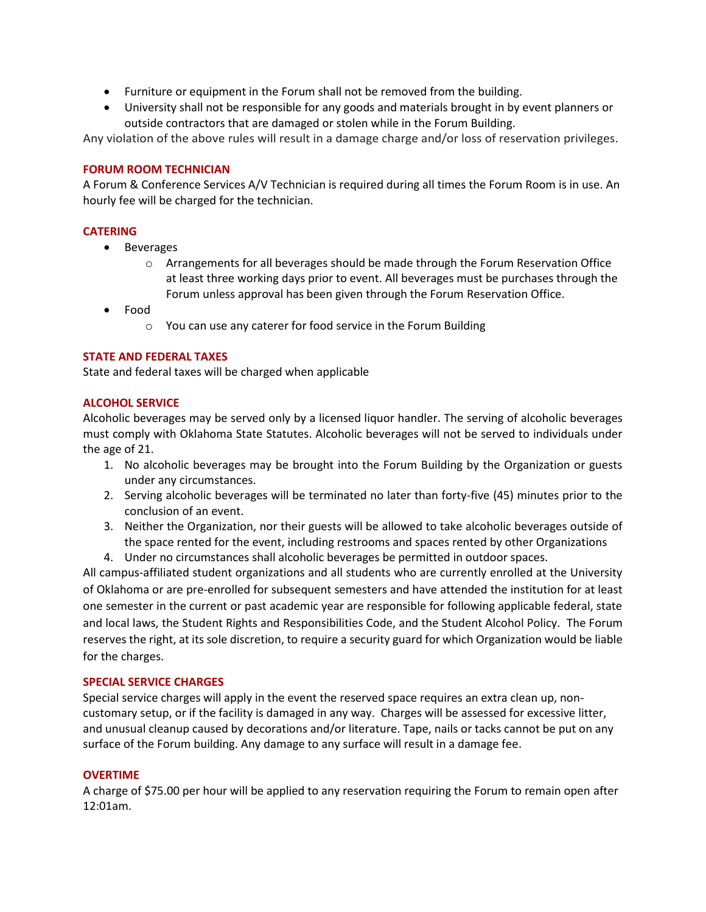- Furniture or equipment in the Forum shall not be removed from the building.
- University shall not be responsible for any goods and materials brought in by event planners or outside contractors that are damaged or stolen while in the Forum Building.

Any violation of the above rules will result in a damage charge and/or loss of reservation privileges.

# **FORUM ROOM TECHNICIAN**

A Forum & Conference Services A/V Technician is required during all times the Forum Room is in use. An hourly fee will be charged for the technician.

# **CATERING**

- Beverages
	- o Arrangements for all beverages should be made through the Forum Reservation Office at least three working days prior to event. All beverages must be purchases through the Forum unless approval has been given through the Forum Reservation Office.
- Food
	- o You can use any caterer for food service in the Forum Building

# **STATE AND FEDERAL TAXES**

State and federal taxes will be charged when applicable

# **ALCOHOL SERVICE**

Alcoholic beverages may be served only by a licensed liquor handler. The serving of alcoholic beverages must comply with Oklahoma State Statutes. Alcoholic beverages will not be served to individuals under the age of 21.

- 1. No alcoholic beverages may be brought into the Forum Building by the Organization or guests under any circumstances.
- 2. Serving alcoholic beverages will be terminated no later than forty-five (45) minutes prior to the conclusion of an event.
- 3. Neither the Organization, nor their guests will be allowed to take alcoholic beverages outside of the space rented for the event, including restrooms and spaces rented by other Organizations
- 4. Under no circumstances shall alcoholic beverages be permitted in outdoor spaces.

All campus-affiliated student organizations and all students who are currently enrolled at the University of Oklahoma or are pre-enrolled for subsequent semesters and have attended the institution for at least one semester in the current or past academic year are responsible for following applicable federal, state and local laws, the Student Rights and Responsibilities Code, and the Student Alcohol Policy. The Forum reserves the right, at its sole discretion, to require a security guard for which Organization would be liable for the charges.

# **SPECIAL SERVICE CHARGES**

Special service charges will apply in the event the reserved space requires an extra clean up, noncustomary setup, or if the facility is damaged in any way. Charges will be assessed for excessive litter, and unusual cleanup caused by decorations and/or literature. Tape, nails or tacks cannot be put on any surface of the Forum building. Any damage to any surface will result in a damage fee.

# **OVERTIME**

A charge of \$75.00 per hour will be applied to any reservation requiring the Forum to remain open after 12:01am.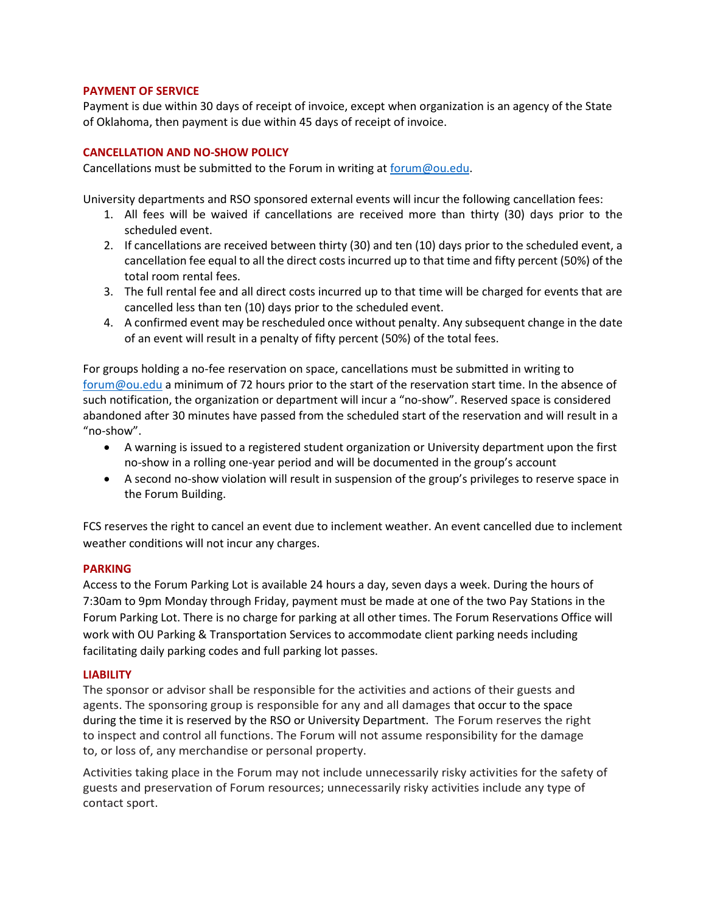## **PAYMENT OF SERVICE**

Payment is due within 30 days of receipt of invoice, except when organization is an agency of the State of Oklahoma, then payment is due within 45 days of receipt of invoice.

#### **CANCELLATION AND NO-SHOW POLICY**

Cancellations must be submitted to the Forum in writing at [forum@ou.edu.](mailto:forum@ou.edu)

University departments and RSO sponsored external events will incur the following cancellation fees:

- 1. All fees will be waived if cancellations are received more than thirty (30) days prior to the scheduled event.
- 2. If cancellations are received between thirty (30) and ten (10) days prior to the scheduled event, a cancellation fee equal to all the direct costs incurred up to that time and fifty percent (50%) of the total room rental fees.
- 3. The full rental fee and all direct costs incurred up to that time will be charged for events that are cancelled less than ten (10) days prior to the scheduled event.
- 4. A confirmed event may be rescheduled once without penalty. Any subsequent change in the date of an event will result in a penalty of fifty percent (50%) of the total fees.

For groups holding a no-fee reservation on space, cancellations must be submitted in writing to [forum@ou.edu](mailto:forum@ou.edu) a minimum of 72 hours prior to the start of the reservation start time. In the absence of such notification, the organization or department will incur a "no-show". Reserved space is considered abandoned after 30 minutes have passed from the scheduled start of the reservation and will result in a "no-show".

- A warning is issued to a registered student organization or University department upon the first no-show in a rolling one-year period and will be documented in the group's account
- A second no-show violation will result in suspension of the group's privileges to reserve space in the Forum Building.

FCS reserves the right to cancel an event due to inclement weather. An event cancelled due to inclement weather conditions will not incur any charges.

# **PARKING**

Access to the Forum Parking Lot is available 24 hours a day, seven days a week. During the hours of 7:30am to 9pm Monday through Friday, payment must be made at one of the two Pay Stations in the Forum Parking Lot. There is no charge for parking at all other times. The Forum Reservations Office will work with OU Parking & Transportation Services to accommodate client parking needs including facilitating daily parking codes and full parking lot passes.

#### **LIABILITY**

The sponsor or advisor shall be responsible for the activities and actions of their guests and agents. The sponsoring group is responsible for any and all damages that occur to the space during the time it is reserved by the RSO or University Department. The Forum reserves the right to inspect and control all functions. The Forum will not assume responsibility for the damage to, or loss of, any merchandise or personal property.

Activities taking place in the Forum may not include unnecessarily risky activities for the safety of guests and preservation of Forum resources; unnecessarily risky activities include any type of contact sport.